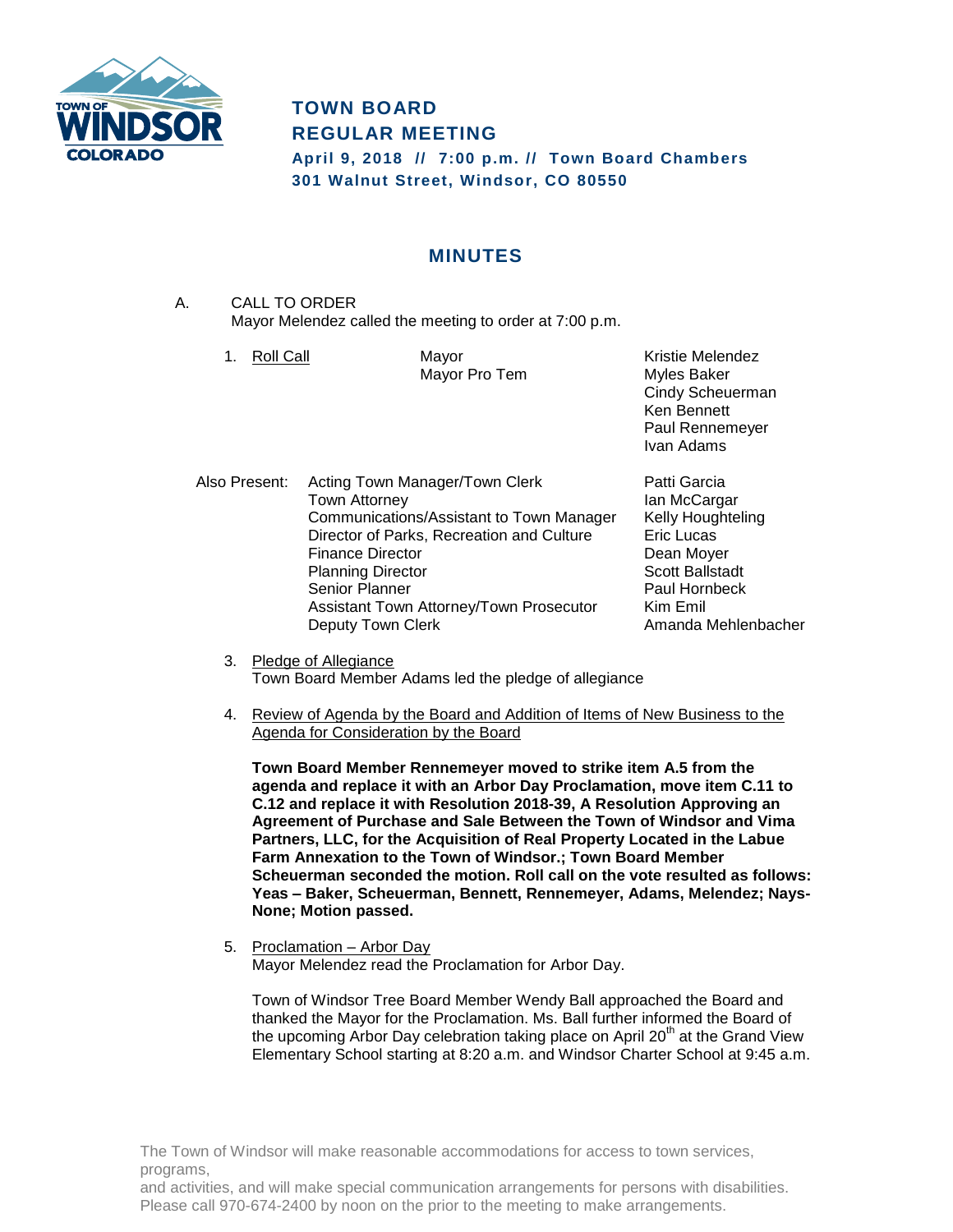

# **TOWN BOARD REGULAR MEETING**

**April 9, 2018 // 7:00 p.m. // Town Board Chambers 301 Walnut Street, Windsor, CO 80550**

## **MINUTES**

- A. CALL TO ORDER Mayor Melendez called the meeting to order at 7:00 p.m.
	- 1. Roll Call **Mayor** Mayor **Kristie Melendez**

Mayor Pro Tem Myles Baker

Cindy Scheuerman Ken Bennett Paul Rennemeyer Ivan Adams

- Also Present: Acting Town Manager/Town Clerk Patti Garcia Town Attorney **Internal Community** Ian McCargar Communications/Assistant to Town Manager Kelly Houghteling Director of Parks, Recreation and Culture Eric Lucas Finance Director **Dean Moyer** Planning Director **Scott Ballstadt** Senior Planner **Paul Hornbeck** Assistant Town Attorney/Town Prosecutor Kim Emil Deputy Town Clerk **Amanda Mehlenbacher** Amanda Mehlenbacher
	- 3. Pledge of Allegiance Town Board Member Adams led the pledge of allegiance
	- 4. Review of Agenda by the Board and Addition of Items of New Business to the Agenda for Consideration by the Board

**Town Board Member Rennemeyer moved to strike item A.5 from the agenda and replace it with an Arbor Day Proclamation, move item C.11 to C.12 and replace it with Resolution 2018-39, A Resolution Approving an Agreement of Purchase and Sale Between the Town of Windsor and Vima Partners, LLC, for the Acquisition of Real Property Located in the Labue Farm Annexation to the Town of Windsor.; Town Board Member Scheuerman seconded the motion. Roll call on the vote resulted as follows: Yeas – Baker, Scheuerman, Bennett, Rennemeyer, Adams, Melendez; Nays-None; Motion passed.**

5. Proclamation – Arbor Day Mayor Melendez read the Proclamation for Arbor Day.

Town of Windsor Tree Board Member Wendy Ball approached the Board and thanked the Mayor for the Proclamation. Ms. Ball further informed the Board of the upcoming Arbor Day celebration taking place on April  $20<sup>th</sup>$  at the Grand View Elementary School starting at 8:20 a.m. and Windsor Charter School at 9:45 a.m.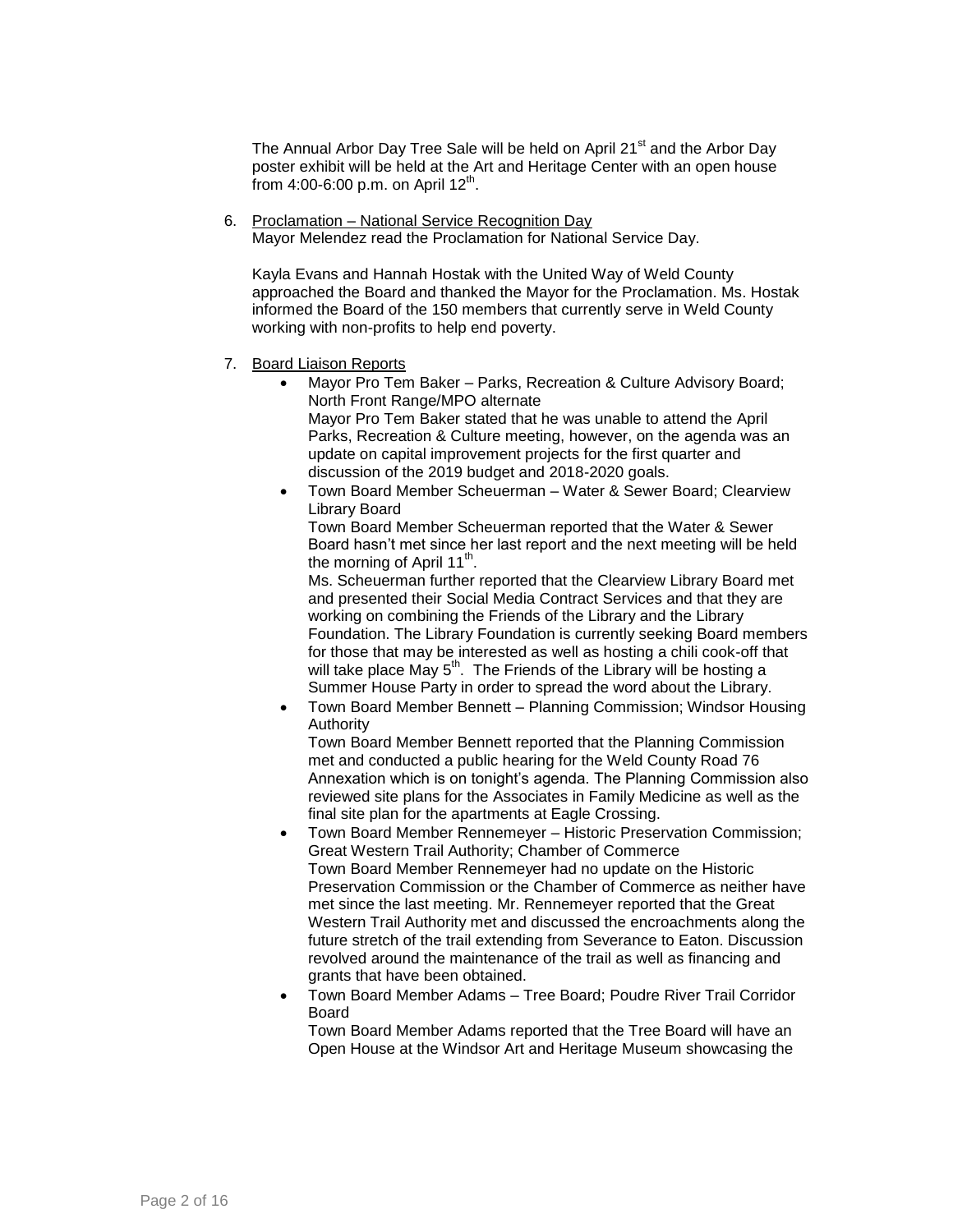The Annual Arbor Day Tree Sale will be held on April 21<sup>st</sup> and the Arbor Day poster exhibit will be held at the Art and Heritage Center with an open house .<br>from 4:00-6:00 p.m. on April 12<sup>th</sup>.

6. Proclamation – National Service Recognition Day Mayor Melendez read the Proclamation for National Service Day.

Kayla Evans and Hannah Hostak with the United Way of Weld County approached the Board and thanked the Mayor for the Proclamation. Ms. Hostak informed the Board of the 150 members that currently serve in Weld County working with non-profits to help end poverty.

- 7. Board Liaison Reports
	- Mayor Pro Tem Baker Parks, Recreation & Culture Advisory Board; North Front Range/MPO alternate Mayor Pro Tem Baker stated that he was unable to attend the April Parks, Recreation & Culture meeting, however, on the agenda was an update on capital improvement projects for the first quarter and discussion of the 2019 budget and 2018-2020 goals.
	- Town Board Member Scheuerman Water & Sewer Board; Clearview Library Board

Town Board Member Scheuerman reported that the Water & Sewer Board hasn't met since her last report and the next meeting will be held the morning of April 11<sup>th</sup>.

Ms. Scheuerman further reported that the Clearview Library Board met and presented their Social Media Contract Services and that they are working on combining the Friends of the Library and the Library Foundation. The Library Foundation is currently seeking Board members for those that may be interested as well as hosting a chili cook-off that will take place May  $5<sup>th</sup>$ . The Friends of the Library will be hosting a Summer House Party in order to spread the word about the Library.

 Town Board Member Bennett – Planning Commission; Windsor Housing Authority

Town Board Member Bennett reported that the Planning Commission met and conducted a public hearing for the Weld County Road 76 Annexation which is on tonight's agenda. The Planning Commission also reviewed site plans for the Associates in Family Medicine as well as the final site plan for the apartments at Eagle Crossing.

- Town Board Member Rennemeyer Historic Preservation Commission; Great Western Trail Authority; Chamber of Commerce Town Board Member Rennemeyer had no update on the Historic Preservation Commission or the Chamber of Commerce as neither have met since the last meeting. Mr. Rennemeyer reported that the Great Western Trail Authority met and discussed the encroachments along the future stretch of the trail extending from Severance to Eaton. Discussion revolved around the maintenance of the trail as well as financing and grants that have been obtained.
- Town Board Member Adams Tree Board; Poudre River Trail Corridor Board

Town Board Member Adams reported that the Tree Board will have an Open House at the Windsor Art and Heritage Museum showcasing the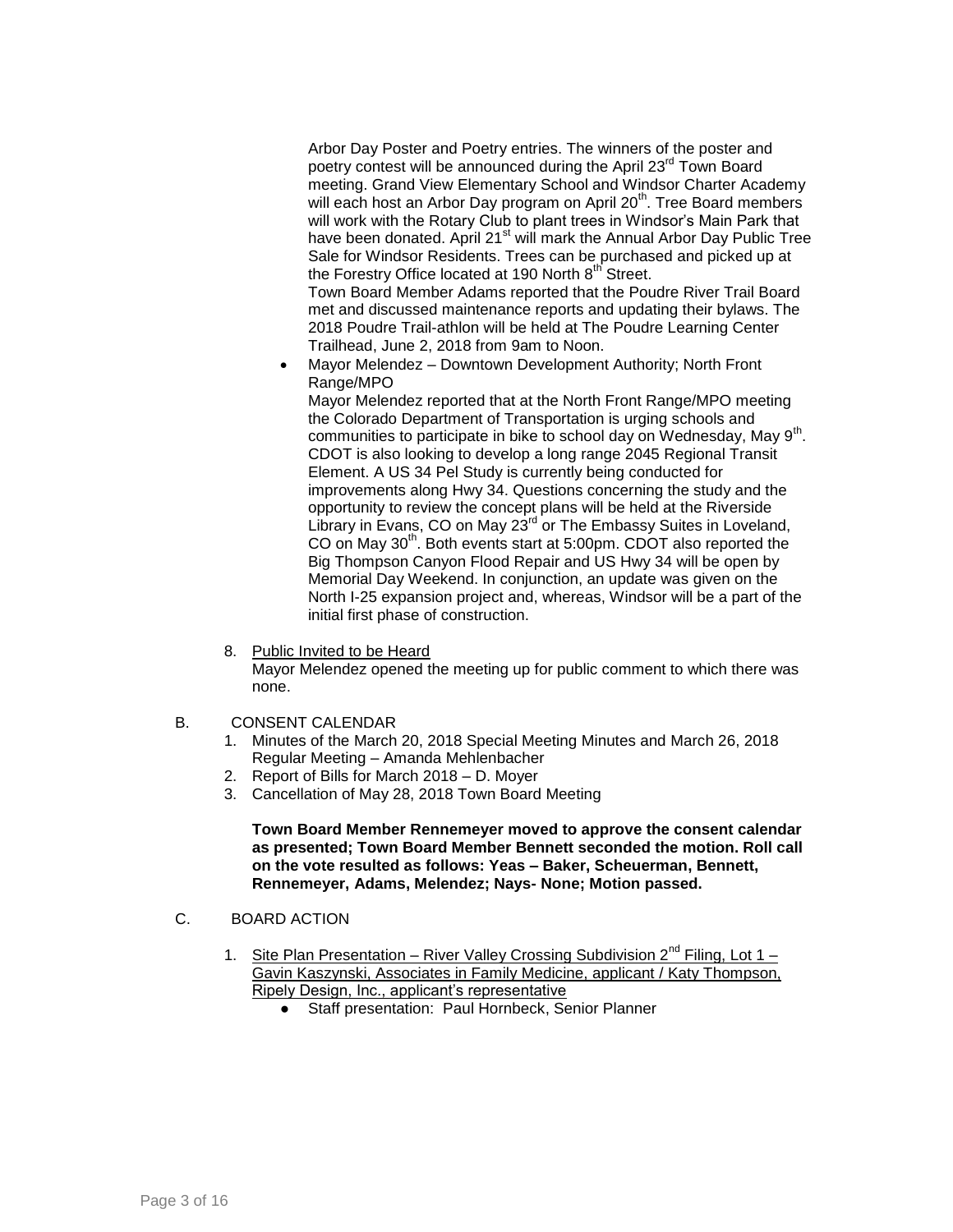Arbor Day Poster and Poetry entries. The winners of the poster and poetry contest will be announced during the April 23<sup>rd</sup> Town Board meeting. Grand View Elementary School and Windsor Charter Academy will each host an Arbor Day program on April 20<sup>th</sup>. Tree Board members will work with the Rotary Club to plant trees in Windsor's Main Park that have been donated. April 21<sup>st</sup> will mark the Annual Arbor Day Public Tree Sale for Windsor Residents. Trees can be purchased and picked up at the Forestry Office located at 190 North 8<sup>th</sup> Street.

Town Board Member Adams reported that the Poudre River Trail Board met and discussed maintenance reports and updating their bylaws. The 2018 Poudre Trail-athlon will be held at The Poudre Learning Center Trailhead, June 2, 2018 from 9am to Noon.

 Mayor Melendez – Downtown Development Authority; North Front Range/MPO

Mayor Melendez reported that at the North Front Range/MPO meeting the Colorado Department of Transportation is urging schools and communities to participate in bike to school day on Wednesday, May 9<sup>th</sup>. CDOT is also looking to develop a long range 2045 Regional Transit Element. A US 34 Pel Study is currently being conducted for improvements along Hwy 34. Questions concerning the study and the opportunity to review the concept plans will be held at the Riverside Library in Evans, CO on May 23<sup>rd</sup> or The Embassy Suites in Loveland, CO on May 30<sup>th</sup>. Both events start at 5:00pm. CDOT also reported the Big Thompson Canyon Flood Repair and US Hwy 34 will be open by Memorial Day Weekend. In conjunction, an update was given on the North I-25 expansion project and, whereas, Windsor will be a part of the initial first phase of construction.

8. Public Invited to be Heard

Mayor Melendez opened the meeting up for public comment to which there was none.

- B. CONSENT CALENDAR
	- 1. Minutes of the March 20, 2018 Special Meeting Minutes and March 26, 2018 Regular Meeting – Amanda Mehlenbacher
	- 2. Report of Bills for March 2018 D. Moyer
	- 3. Cancellation of May 28, 2018 Town Board Meeting

#### **Town Board Member Rennemeyer moved to approve the consent calendar as presented; Town Board Member Bennett seconded the motion. Roll call on the vote resulted as follows: Yeas – Baker, Scheuerman, Bennett, Rennemeyer, Adams, Melendez; Nays- None; Motion passed.**

- C. BOARD ACTION
	- 1. Site Plan Presentation River Valley Crossing Subdivision  $2^{nd}$  Filing, Lot 1 Gavin Kaszynski, Associates in Family Medicine, applicant / Katy Thompson, Ripely Design, Inc., applicant's representative
		- Staff presentation: Paul Hornbeck, Senior Planner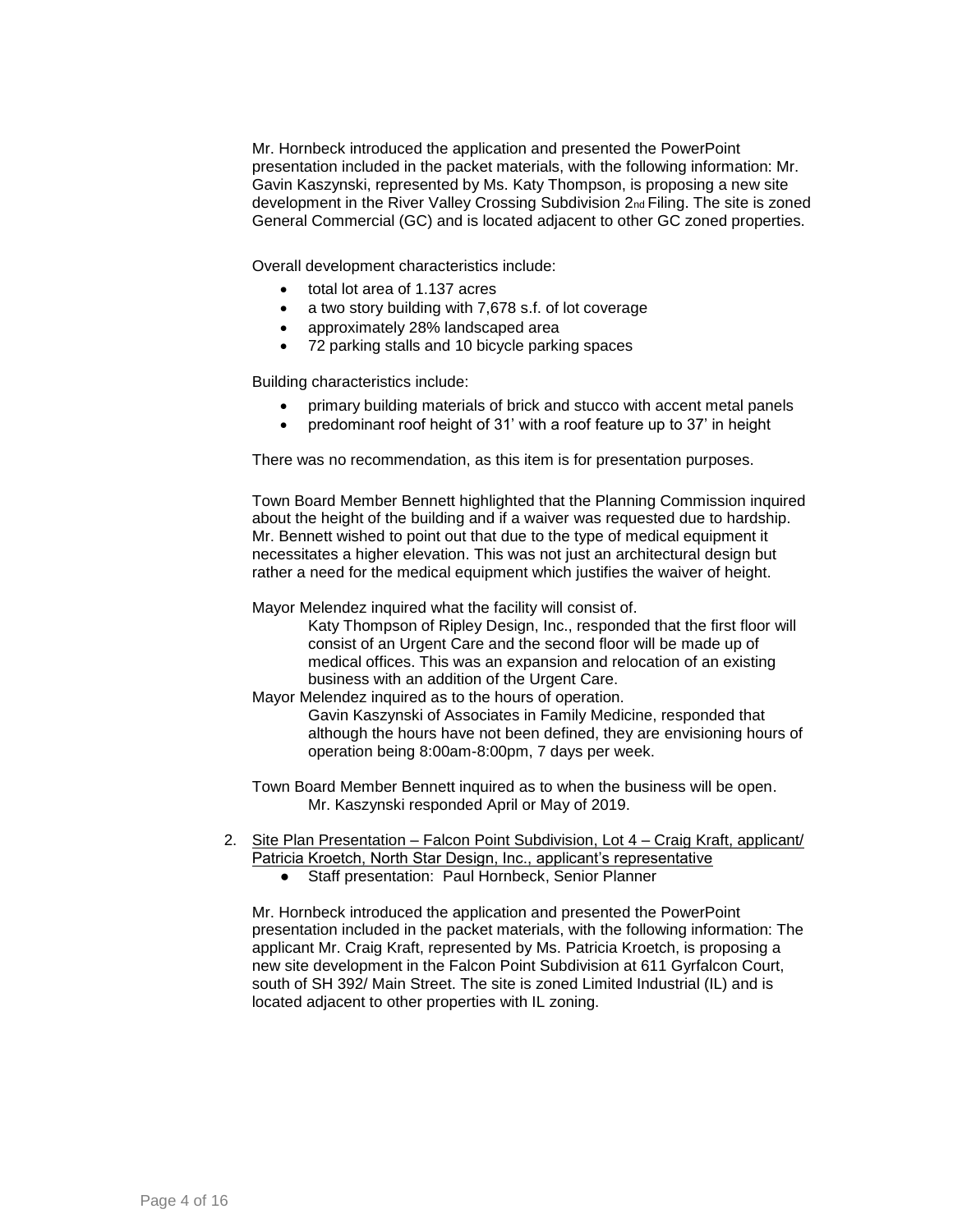Mr. Hornbeck introduced the application and presented the PowerPoint presentation included in the packet materials, with the following information: Mr. Gavin Kaszynski, represented by Ms. Katy Thompson, is proposing a new site development in the River Valley Crossing Subdivision 2nd Filing. The site is zoned General Commercial (GC) and is located adjacent to other GC zoned properties.

Overall development characteristics include:

- total lot area of 1.137 acres
- a two story building with 7,678 s.f. of lot coverage
- approximately 28% landscaped area
- 72 parking stalls and 10 bicycle parking spaces

Building characteristics include:

- primary building materials of brick and stucco with accent metal panels
- predominant roof height of 31' with a roof feature up to 37' in height

There was no recommendation, as this item is for presentation purposes.

Town Board Member Bennett highlighted that the Planning Commission inquired about the height of the building and if a waiver was requested due to hardship. Mr. Bennett wished to point out that due to the type of medical equipment it necessitates a higher elevation. This was not just an architectural design but rather a need for the medical equipment which justifies the waiver of height.

Mayor Melendez inquired what the facility will consist of.

Katy Thompson of Ripley Design, Inc., responded that the first floor will consist of an Urgent Care and the second floor will be made up of medical offices. This was an expansion and relocation of an existing business with an addition of the Urgent Care.

Mayor Melendez inquired as to the hours of operation.

Gavin Kaszynski of Associates in Family Medicine, responded that although the hours have not been defined, they are envisioning hours of operation being 8:00am-8:00pm, 7 days per week.

Town Board Member Bennett inquired as to when the business will be open. Mr. Kaszynski responded April or May of 2019.

- 2. Site Plan Presentation Falcon Point Subdivision, Lot 4 Craig Kraft, applicant/ Patricia Kroetch, North Star Design, Inc., applicant's representative
	- Staff presentation: Paul Hornbeck, Senior Planner

Mr. Hornbeck introduced the application and presented the PowerPoint presentation included in the packet materials, with the following information: The applicant Mr. Craig Kraft, represented by Ms. Patricia Kroetch, is proposing a new site development in the Falcon Point Subdivision at 611 Gyrfalcon Court, south of SH 392/ Main Street. The site is zoned Limited Industrial (IL) and is located adjacent to other properties with IL zoning.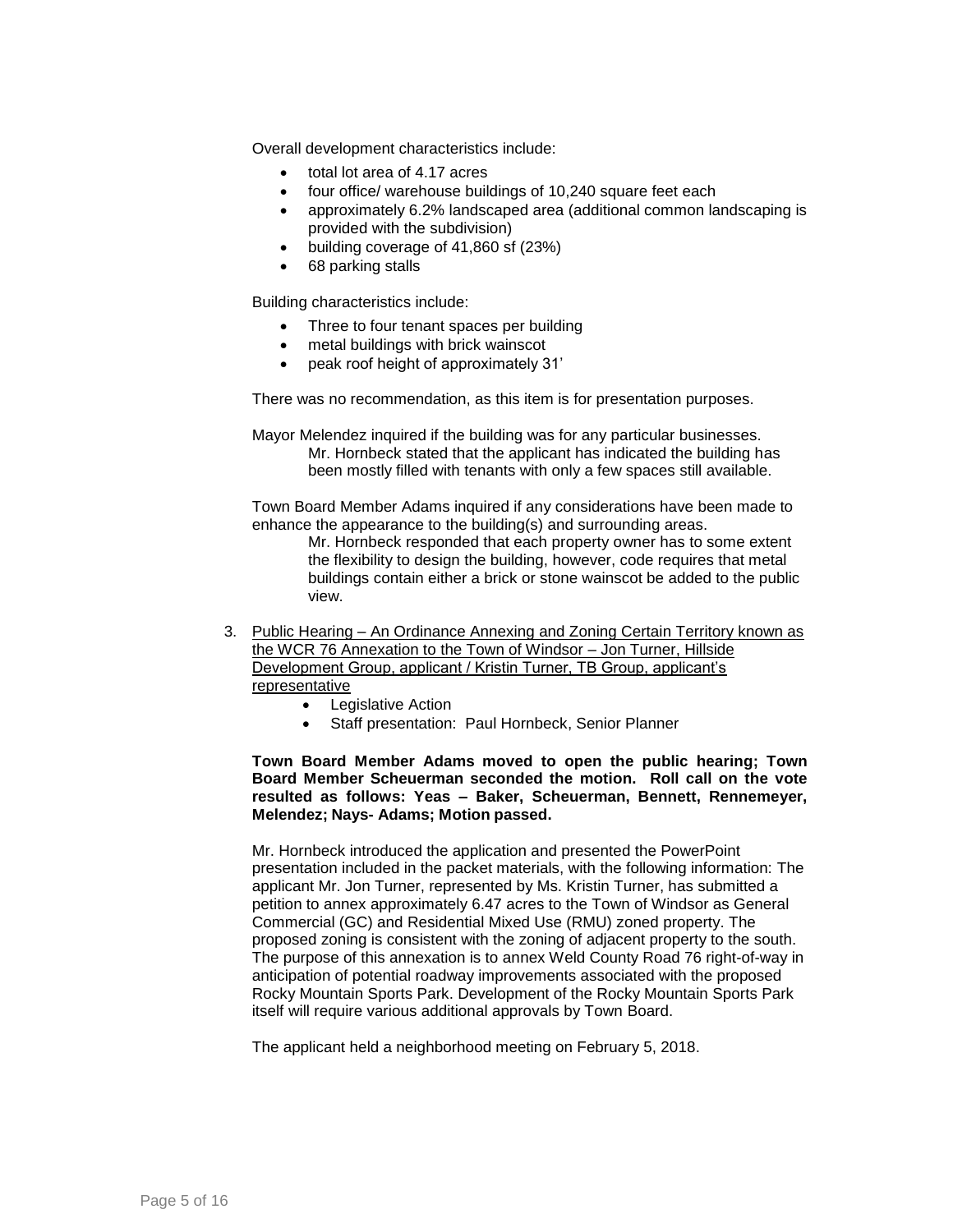Overall development characteristics include:

- total lot area of 4.17 acres
- four office/ warehouse buildings of 10,240 square feet each
- approximately 6.2% landscaped area (additional common landscaping is provided with the subdivision)
- building coverage of 41,860 sf (23%)
- 68 parking stalls

Building characteristics include:

- Three to four tenant spaces per building
- metal buildings with brick wainscot
- peak roof height of approximately 31'

There was no recommendation, as this item is for presentation purposes.

Mayor Melendez inquired if the building was for any particular businesses. Mr. Hornbeck stated that the applicant has indicated the building has been mostly filled with tenants with only a few spaces still available.

Town Board Member Adams inquired if any considerations have been made to enhance the appearance to the building(s) and surrounding areas.

> Mr. Hornbeck responded that each property owner has to some extent the flexibility to design the building, however, code requires that metal buildings contain either a brick or stone wainscot be added to the public view.

- 3. Public Hearing An Ordinance Annexing and Zoning Certain Territory known as the WCR 76 Annexation to the Town of Windsor – Jon Turner, Hillside Development Group, applicant / Kristin Turner, TB Group, applicant's representative
	- Legislative Action
	- Staff presentation: Paul Hornbeck, Senior Planner

**Town Board Member Adams moved to open the public hearing; Town Board Member Scheuerman seconded the motion. Roll call on the vote resulted as follows: Yeas – Baker, Scheuerman, Bennett, Rennemeyer, Melendez; Nays- Adams; Motion passed.**

Mr. Hornbeck introduced the application and presented the PowerPoint presentation included in the packet materials, with the following information: The applicant Mr. Jon Turner, represented by Ms. Kristin Turner, has submitted a petition to annex approximately 6.47 acres to the Town of Windsor as General Commercial (GC) and Residential Mixed Use (RMU) zoned property. The proposed zoning is consistent with the zoning of adjacent property to the south. The purpose of this annexation is to annex Weld County Road 76 right-of-way in anticipation of potential roadway improvements associated with the proposed Rocky Mountain Sports Park. Development of the Rocky Mountain Sports Park itself will require various additional approvals by Town Board.

The applicant held a neighborhood meeting on February 5, 2018.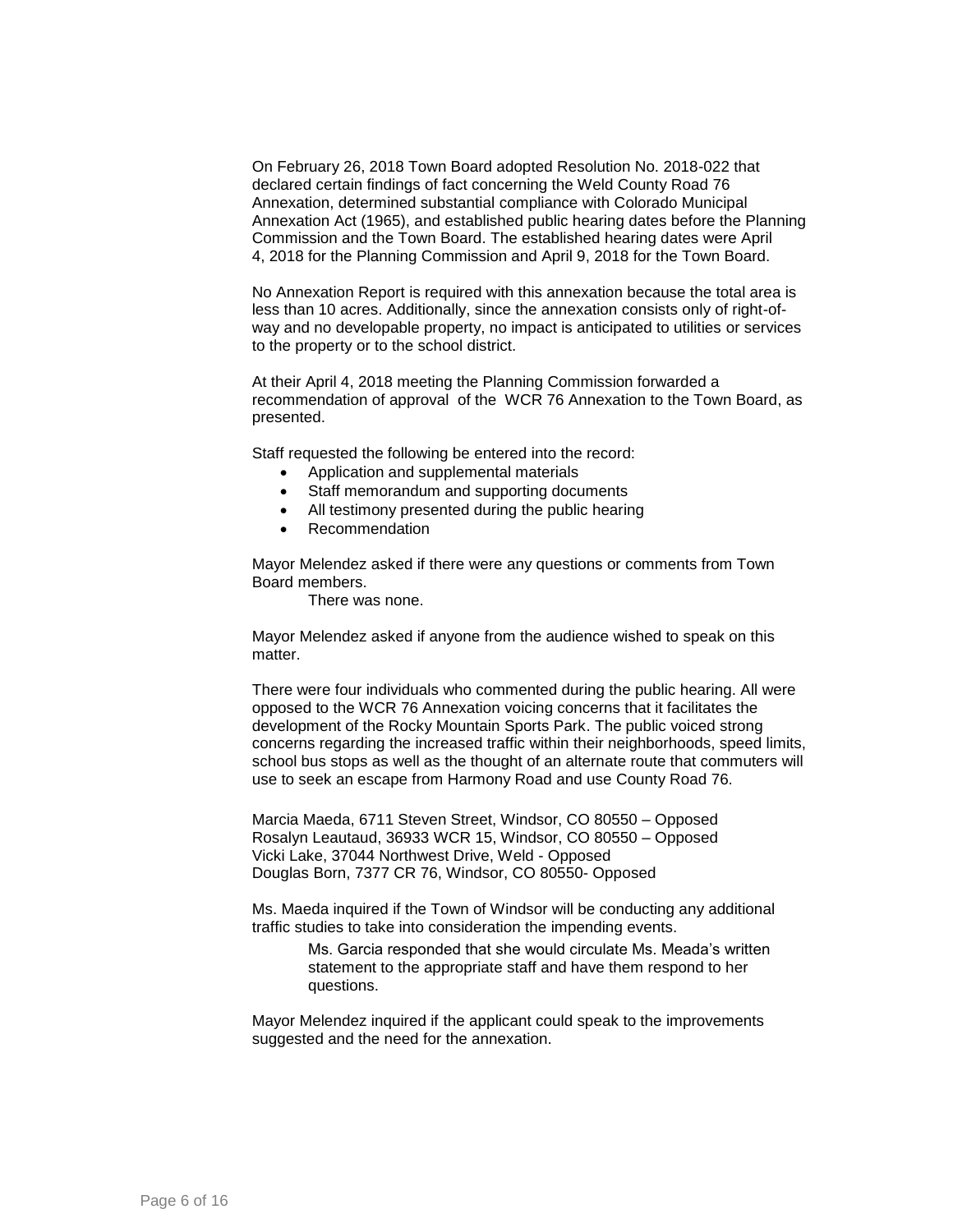On February 26, 2018 Town Board adopted Resolution No. 2018-022 that declared certain findings of fact concerning the Weld County Road 76 Annexation, determined substantial compliance with Colorado Municipal Annexation Act (1965), and established public hearing dates before the Planning Commission and the Town Board. The established hearing dates were April 4, 2018 for the Planning Commission and April 9, 2018 for the Town Board.

No Annexation Report is required with this annexation because the total area is less than 10 acres. Additionally, since the annexation consists only of right-ofway and no developable property, no impact is anticipated to utilities or services to the property or to the school district.

At their April 4, 2018 meeting the Planning Commission forwarded a recommendation of approval of the WCR 76 Annexation to the Town Board, as presented.

Staff requested the following be entered into the record:

- Application and supplemental materials
- Staff memorandum and supporting documents
- All testimony presented during the public hearing
- Recommendation

Mayor Melendez asked if there were any questions or comments from Town Board members.

There was none.

Mayor Melendez asked if anyone from the audience wished to speak on this matter

There were four individuals who commented during the public hearing. All were opposed to the WCR 76 Annexation voicing concerns that it facilitates the development of the Rocky Mountain Sports Park. The public voiced strong concerns regarding the increased traffic within their neighborhoods, speed limits, school bus stops as well as the thought of an alternate route that commuters will use to seek an escape from Harmony Road and use County Road 76.

Marcia Maeda, 6711 Steven Street, Windsor, CO 80550 – Opposed Rosalyn Leautaud, 36933 WCR 15, Windsor, CO 80550 – Opposed Vicki Lake, 37044 Northwest Drive, Weld - Opposed Douglas Born, 7377 CR 76, Windsor, CO 80550- Opposed

Ms. Maeda inquired if the Town of Windsor will be conducting any additional traffic studies to take into consideration the impending events.

> Ms. Garcia responded that she would circulate Ms. Meada's written statement to the appropriate staff and have them respond to her questions.

Mayor Melendez inquired if the applicant could speak to the improvements suggested and the need for the annexation.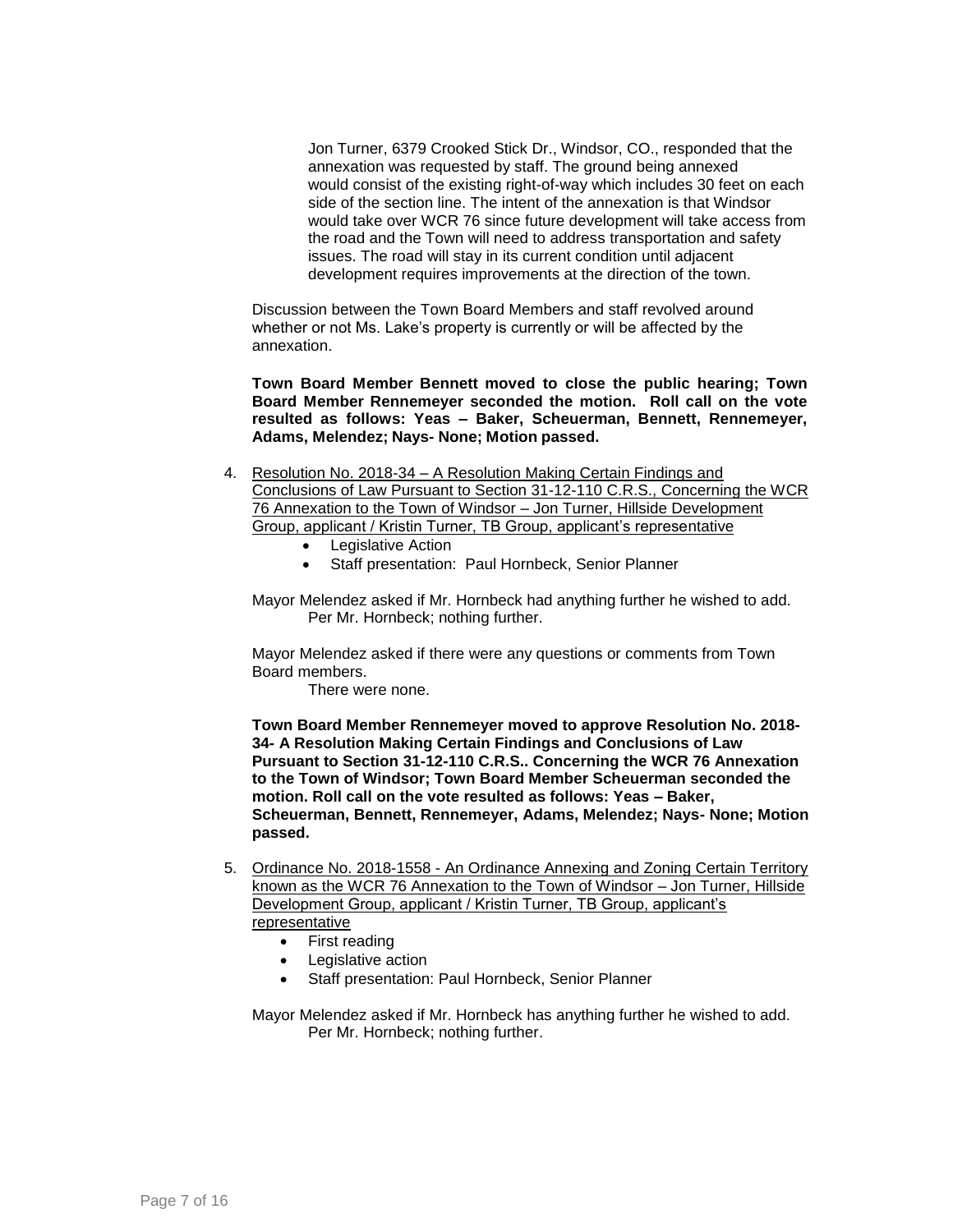Jon Turner, 6379 Crooked Stick Dr., Windsor, CO., responded that the annexation was requested by staff. The ground being annexed would consist of the existing right-of-way which includes 30 feet on each side of the section line. The intent of the annexation is that Windsor would take over WCR 76 since future development will take access from the road and the Town will need to address transportation and safety issues. The road will stay in its current condition until adjacent development requires improvements at the direction of the town.

Discussion between the Town Board Members and staff revolved around whether or not Ms. Lake's property is currently or will be affected by the annexation.

**Town Board Member Bennett moved to close the public hearing; Town Board Member Rennemeyer seconded the motion. Roll call on the vote resulted as follows: Yeas – Baker, Scheuerman, Bennett, Rennemeyer, Adams, Melendez; Nays- None; Motion passed.**

- 4. Resolution No. 2018-34 A Resolution Making Certain Findings and Conclusions of Law Pursuant to Section 31-12-110 C.R.S., Concerning the WCR 76 Annexation to the Town of Windsor – Jon Turner, Hillside Development Group, applicant / Kristin Turner, TB Group, applicant's representative
	- Legislative Action
	- Staff presentation: Paul Hornbeck, Senior Planner

Mayor Melendez asked if Mr. Hornbeck had anything further he wished to add. Per Mr. Hornbeck; nothing further.

Mayor Melendez asked if there were any questions or comments from Town Board members.

There were none.

**Town Board Member Rennemeyer moved to approve Resolution No. 2018- 34- A Resolution Making Certain Findings and Conclusions of Law Pursuant to Section 31-12-110 C.R.S.. Concerning the WCR 76 Annexation to the Town of Windsor; Town Board Member Scheuerman seconded the motion. Roll call on the vote resulted as follows: Yeas – Baker, Scheuerman, Bennett, Rennemeyer, Adams, Melendez; Nays- None; Motion passed.**

- 5. Ordinance No. 2018-1558 An Ordinance Annexing and Zoning Certain Territory known as the WCR 76 Annexation to the Town of Windsor – Jon Turner, Hillside Development Group, applicant / Kristin Turner, TB Group, applicant's representative
	- First reading
	- Legislative action
	- Staff presentation: Paul Hornbeck, Senior Planner

Mayor Melendez asked if Mr. Hornbeck has anything further he wished to add. Per Mr. Hornbeck; nothing further.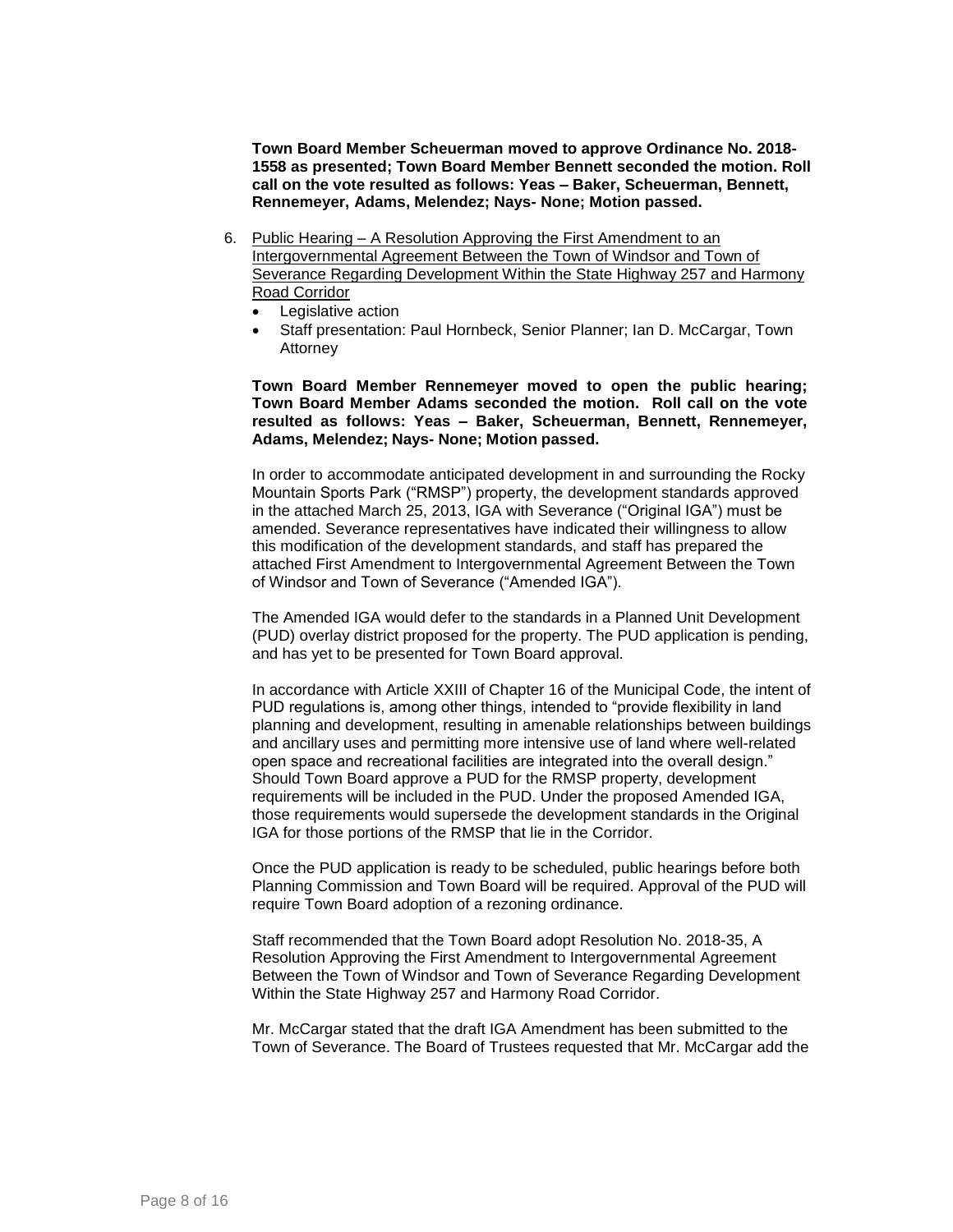**Town Board Member Scheuerman moved to approve Ordinance No. 2018- 1558 as presented; Town Board Member Bennett seconded the motion. Roll call on the vote resulted as follows: Yeas – Baker, Scheuerman, Bennett, Rennemeyer, Adams, Melendez; Nays- None; Motion passed.**

- 6. Public Hearing A Resolution Approving the First Amendment to an Intergovernmental Agreement Between the Town of Windsor and Town of Severance Regarding Development Within the State Highway 257 and Harmony Road Corridor
	- Legislative action
	- Staff presentation: Paul Hornbeck, Senior Planner; Ian D. McCargar, Town Attorney

**Town Board Member Rennemeyer moved to open the public hearing; Town Board Member Adams seconded the motion. Roll call on the vote resulted as follows: Yeas – Baker, Scheuerman, Bennett, Rennemeyer, Adams, Melendez; Nays- None; Motion passed.**

In order to accommodate anticipated development in and surrounding the Rocky Mountain Sports Park ("RMSP") property, the development standards approved in the attached March 25, 2013, IGA with Severance ("Original IGA") must be amended. Severance representatives have indicated their willingness to allow this modification of the development standards, and staff has prepared the attached First Amendment to Intergovernmental Agreement Between the Town of Windsor and Town of Severance ("Amended IGA").

The Amended IGA would defer to the standards in a Planned Unit Development (PUD) overlay district proposed for the property. The PUD application is pending, and has yet to be presented for Town Board approval.

In accordance with Article XXIII of Chapter 16 of the Municipal Code, the intent of PUD regulations is, among other things, intended to "provide flexibility in land planning and development, resulting in amenable relationships between buildings and ancillary uses and permitting more intensive use of land where well-related open space and recreational facilities are integrated into the overall design." Should Town Board approve a PUD for the RMSP property, development requirements will be included in the PUD. Under the proposed Amended IGA, those requirements would supersede the development standards in the Original IGA for those portions of the RMSP that lie in the Corridor.

Once the PUD application is ready to be scheduled, public hearings before both Planning Commission and Town Board will be required. Approval of the PUD will require Town Board adoption of a rezoning ordinance.

Staff recommended that the Town Board adopt Resolution No. 2018-35, A Resolution Approving the First Amendment to Intergovernmental Agreement Between the Town of Windsor and Town of Severance Regarding Development Within the State Highway 257 and Harmony Road Corridor.

Mr. McCargar stated that the draft IGA Amendment has been submitted to the Town of Severance. The Board of Trustees requested that Mr. McCargar add the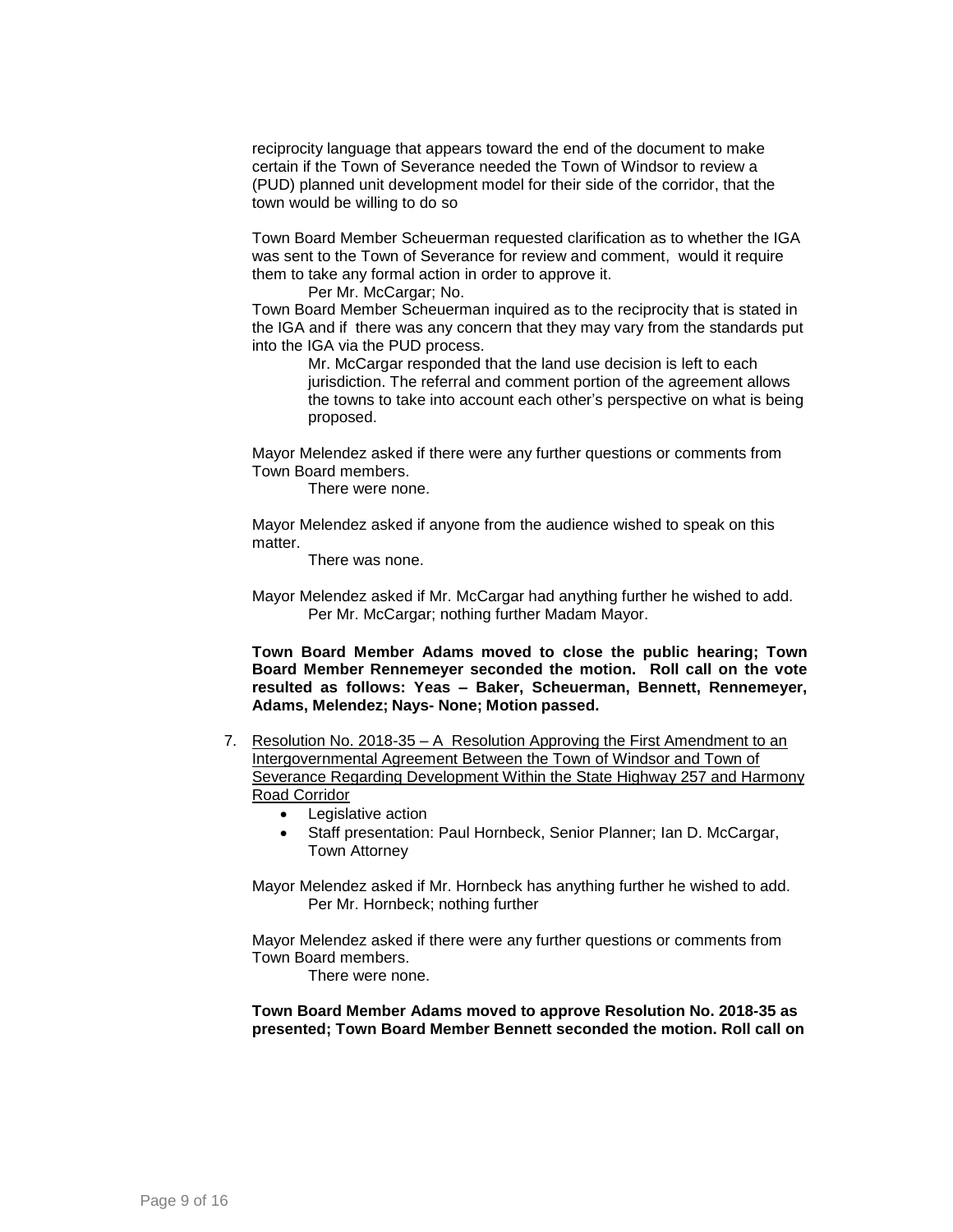reciprocity language that appears toward the end of the document to make certain if the Town of Severance needed the Town of Windsor to review a (PUD) planned unit development model for their side of the corridor, that the town would be willing to do so

Town Board Member Scheuerman requested clarification as to whether the IGA was sent to the Town of Severance for review and comment, would it require them to take any formal action in order to approve it.

Per Mr. McCargar; No.

Town Board Member Scheuerman inquired as to the reciprocity that is stated in the IGA and if there was any concern that they may vary from the standards put into the IGA via the PUD process.

Mr. McCargar responded that the land use decision is left to each jurisdiction. The referral and comment portion of the agreement allows the towns to take into account each other's perspective on what is being proposed.

Mayor Melendez asked if there were any further questions or comments from Town Board members.

There were none.

Mayor Melendez asked if anyone from the audience wished to speak on this matter.

There was none.

Mayor Melendez asked if Mr. McCargar had anything further he wished to add. Per Mr. McCargar; nothing further Madam Mayor.

**Town Board Member Adams moved to close the public hearing; Town Board Member Rennemeyer seconded the motion. Roll call on the vote resulted as follows: Yeas – Baker, Scheuerman, Bennett, Rennemeyer, Adams, Melendez; Nays- None; Motion passed.**

- 7. Resolution No. 2018-35 A Resolution Approving the First Amendment to an Intergovernmental Agreement Between the Town of Windsor and Town of Severance Regarding Development Within the State Highway 257 and Harmony Road Corridor
	- Legislative action
	- Staff presentation: Paul Hornbeck, Senior Planner; Ian D. McCargar, Town Attorney

Mayor Melendez asked if Mr. Hornbeck has anything further he wished to add. Per Mr. Hornbeck; nothing further

Mayor Melendez asked if there were any further questions or comments from Town Board members.

There were none.

**Town Board Member Adams moved to approve Resolution No. 2018-35 as presented; Town Board Member Bennett seconded the motion. Roll call on**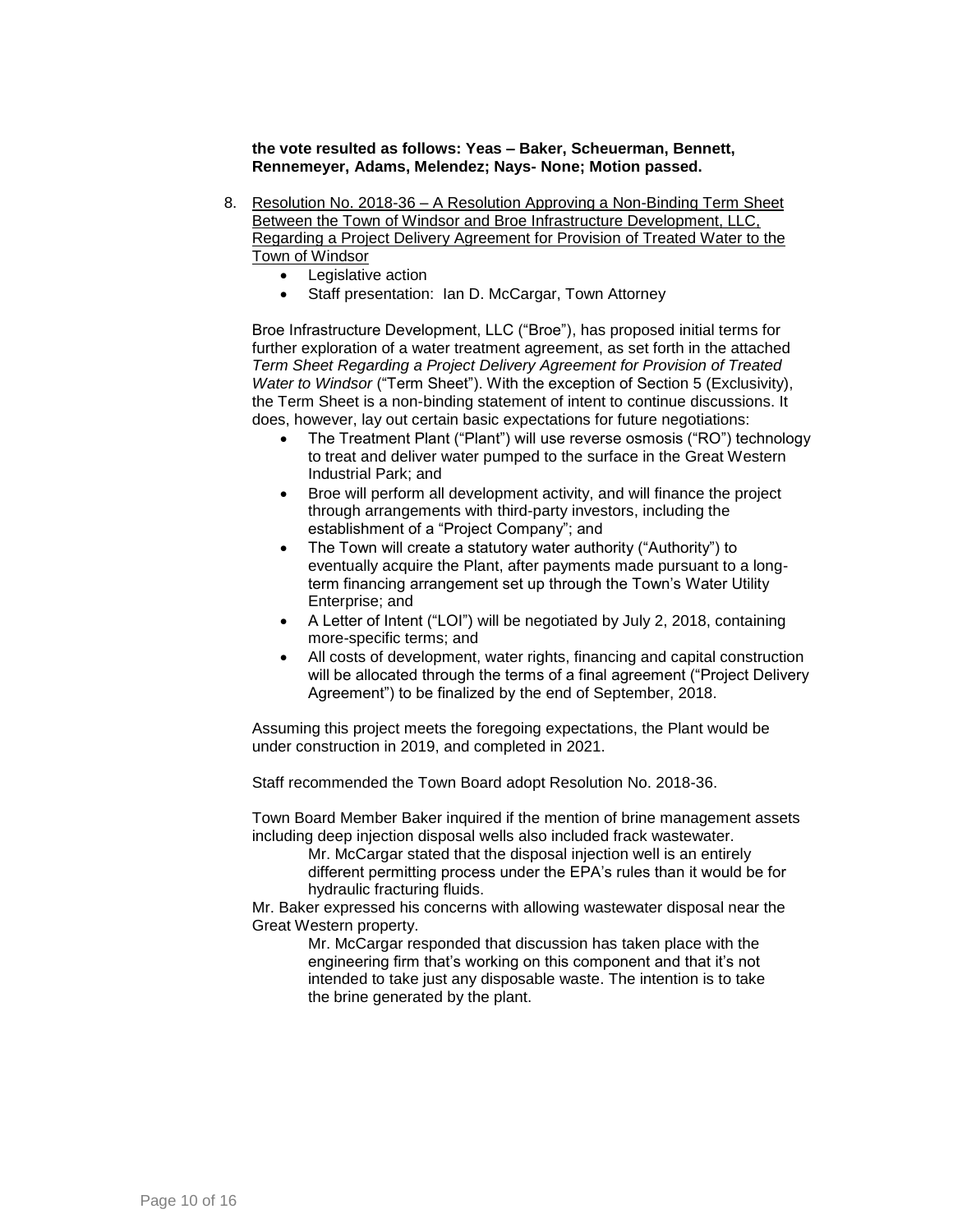**the vote resulted as follows: Yeas – Baker, Scheuerman, Bennett, Rennemeyer, Adams, Melendez; Nays- None; Motion passed.**

- 8. Resolution No. 2018-36 A Resolution Approving a Non-Binding Term Sheet Between the Town of Windsor and Broe Infrastructure Development, LLC, Regarding a Project Delivery Agreement for Provision of Treated Water to the Town of Windsor
	- Legislative action
	- Staff presentation: Ian D. McCargar, Town Attorney

Broe Infrastructure Development, LLC ("Broe"), has proposed initial terms for further exploration of a water treatment agreement, as set forth in the attached *Term Sheet Regarding a Project Delivery Agreement for Provision of Treated Water to Windsor* ("Term Sheet"). With the exception of Section 5 (Exclusivity), the Term Sheet is a non-binding statement of intent to continue discussions. It does, however, lay out certain basic expectations for future negotiations:

- The Treatment Plant ("Plant") will use reverse osmosis ("RO") technology to treat and deliver water pumped to the surface in the Great Western Industrial Park; and
- Broe will perform all development activity, and will finance the project through arrangements with third-party investors, including the establishment of a "Project Company"; and
- The Town will create a statutory water authority ("Authority") to eventually acquire the Plant, after payments made pursuant to a longterm financing arrangement set up through the Town's Water Utility Enterprise; and
- A Letter of Intent ("LOI") will be negotiated by July 2, 2018, containing more-specific terms; and
- All costs of development, water rights, financing and capital construction will be allocated through the terms of a final agreement ("Project Delivery Agreement") to be finalized by the end of September, 2018.

Assuming this project meets the foregoing expectations, the Plant would be under construction in 2019, and completed in 2021.

Staff recommended the Town Board adopt Resolution No. 2018-36.

Town Board Member Baker inquired if the mention of brine management assets including deep injection disposal wells also included frack wastewater.

> Mr. McCargar stated that the disposal injection well is an entirely different permitting process under the EPA's rules than it would be for hydraulic fracturing fluids.

Mr. Baker expressed his concerns with allowing wastewater disposal near the Great Western property.

> Mr. McCargar responded that discussion has taken place with the engineering firm that's working on this component and that it's not intended to take just any disposable waste. The intention is to take the brine generated by the plant.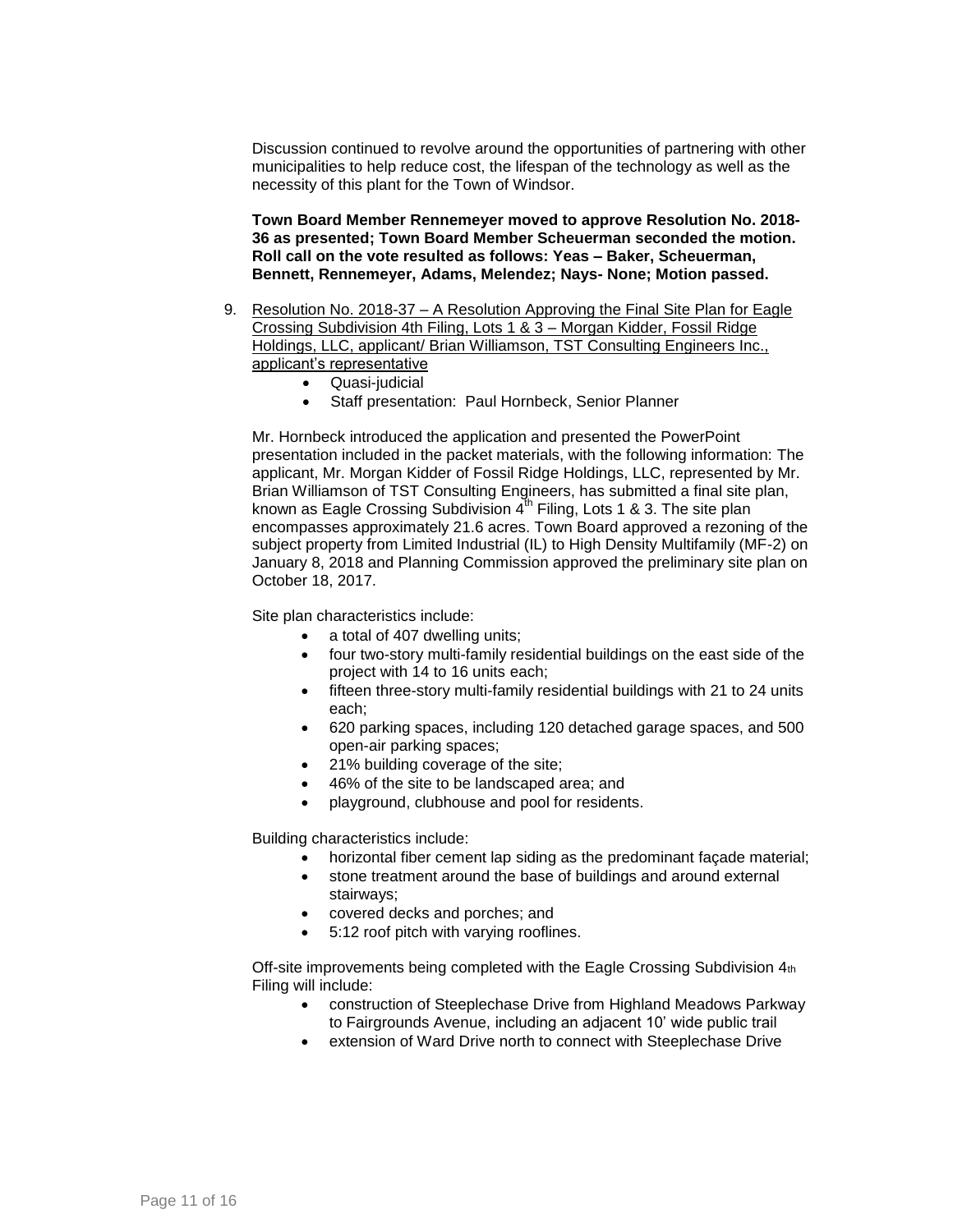Discussion continued to revolve around the opportunities of partnering with other municipalities to help reduce cost, the lifespan of the technology as well as the necessity of this plant for the Town of Windsor.

**Town Board Member Rennemeyer moved to approve Resolution No. 2018- 36 as presented; Town Board Member Scheuerman seconded the motion. Roll call on the vote resulted as follows: Yeas – Baker, Scheuerman, Bennett, Rennemeyer, Adams, Melendez; Nays- None; Motion passed.**

- 9. Resolution No. 2018-37 A Resolution Approving the Final Site Plan for Eagle Crossing Subdivision 4th Filing, Lots 1 & 3 – Morgan Kidder, Fossil Ridge Holdings, LLC, applicant/ Brian Williamson, TST Consulting Engineers Inc., applicant's representative
	- Quasi-judicial
	- Staff presentation: Paul Hornbeck, Senior Planner

Mr. Hornbeck introduced the application and presented the PowerPoint presentation included in the packet materials, with the following information: The applicant, Mr. Morgan Kidder of Fossil Ridge Holdings, LLC, represented by Mr. Brian Williamson of TST Consulting Engineers, has submitted a final site plan, known as Eagle Crossing Subdivision  $4^{th}$  Filing, Lots 1 & 3. The site plan encompasses approximately 21.6 acres. Town Board approved a rezoning of the subject property from Limited Industrial (IL) to High Density Multifamily (MF-2) on January 8, 2018 and Planning Commission approved the preliminary site plan on October 18, 2017.

Site plan characteristics include:

- a total of 407 dwelling units;
- four two-story multi-family residential buildings on the east side of the project with 14 to 16 units each;
- fifteen three-story multi-family residential buildings with 21 to 24 units each;
- 620 parking spaces, including 120 detached garage spaces, and 500 open-air parking spaces;
- 21% building coverage of the site;
- 46% of the site to be landscaped area; and
- playground, clubhouse and pool for residents.

Building characteristics include:

- horizontal fiber cement lap siding as the predominant façade material;
- stone treatment around the base of buildings and around external stairways;
- covered decks and porches; and
- 5:12 roof pitch with varying rooflines.

Off-site improvements being completed with the Eagle Crossing Subdivision 4th Filing will include:

- construction of Steeplechase Drive from Highland Meadows Parkway to Fairgrounds Avenue, including an adjacent 10' wide public trail
- extension of Ward Drive north to connect with Steeplechase Drive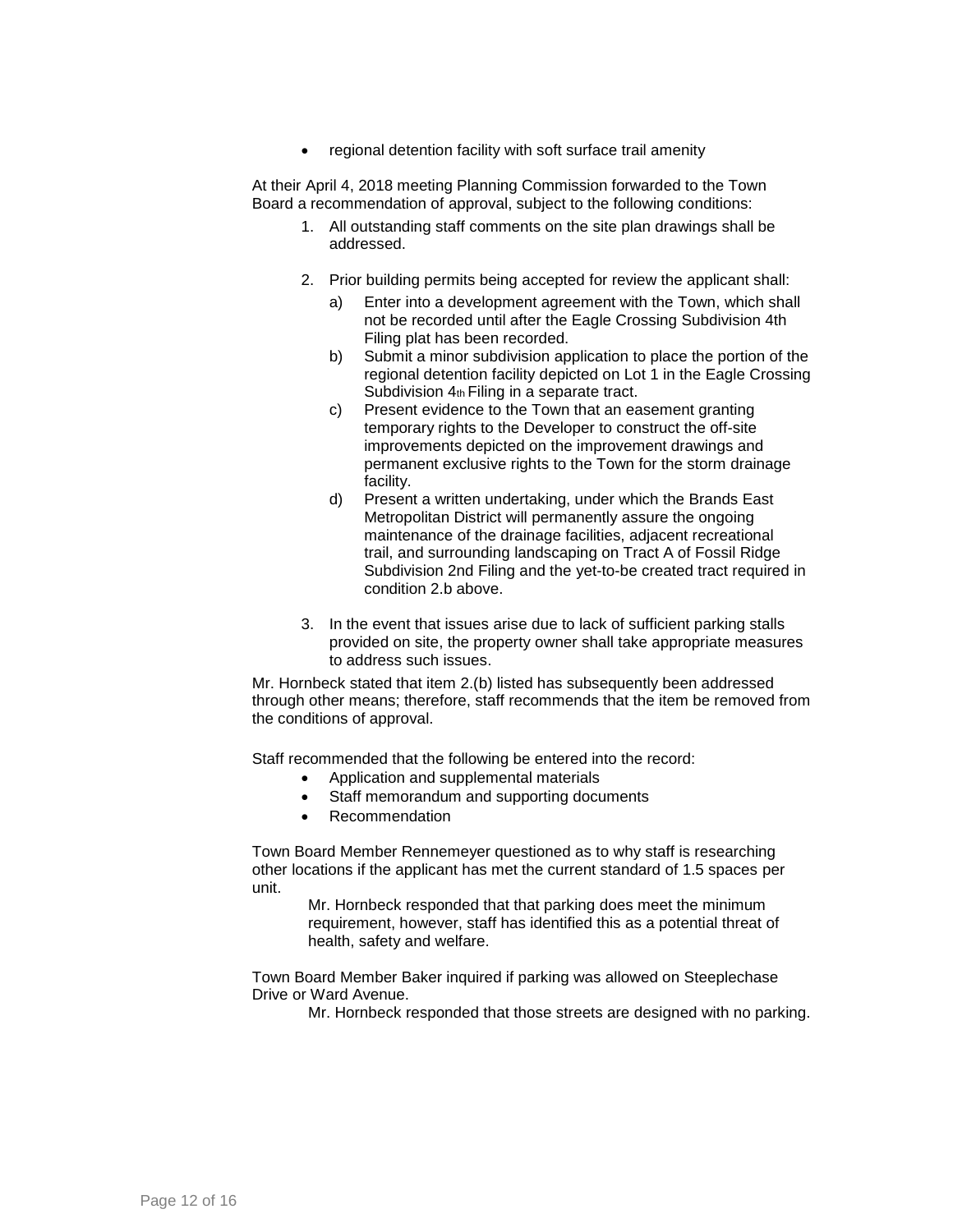• regional detention facility with soft surface trail amenity

At their April 4, 2018 meeting Planning Commission forwarded to the Town Board a recommendation of approval, subject to the following conditions:

- 1. All outstanding staff comments on the site plan drawings shall be addressed.
- 2. Prior building permits being accepted for review the applicant shall:
	- a) Enter into a development agreement with the Town, which shall not be recorded until after the Eagle Crossing Subdivision 4th Filing plat has been recorded.
	- b) Submit a minor subdivision application to place the portion of the regional detention facility depicted on Lot 1 in the Eagle Crossing Subdivision 4th Filing in a separate tract.
	- c) Present evidence to the Town that an easement granting temporary rights to the Developer to construct the off-site improvements depicted on the improvement drawings and permanent exclusive rights to the Town for the storm drainage facility.
	- d) Present a written undertaking, under which the Brands East Metropolitan District will permanently assure the ongoing maintenance of the drainage facilities, adjacent recreational trail, and surrounding landscaping on Tract A of Fossil Ridge Subdivision 2nd Filing and the yet-to-be created tract required in condition 2.b above.
- 3. In the event that issues arise due to lack of sufficient parking stalls provided on site, the property owner shall take appropriate measures to address such issues.

Mr. Hornbeck stated that item 2.(b) listed has subsequently been addressed through other means; therefore, staff recommends that the item be removed from the conditions of approval.

Staff recommended that the following be entered into the record:

- Application and supplemental materials
- Staff memorandum and supporting documents
- Recommendation

Town Board Member Rennemeyer questioned as to why staff is researching other locations if the applicant has met the current standard of 1.5 spaces per unit.

Mr. Hornbeck responded that that parking does meet the minimum requirement, however, staff has identified this as a potential threat of health, safety and welfare.

Town Board Member Baker inquired if parking was allowed on Steeplechase Drive or Ward Avenue.

Mr. Hornbeck responded that those streets are designed with no parking.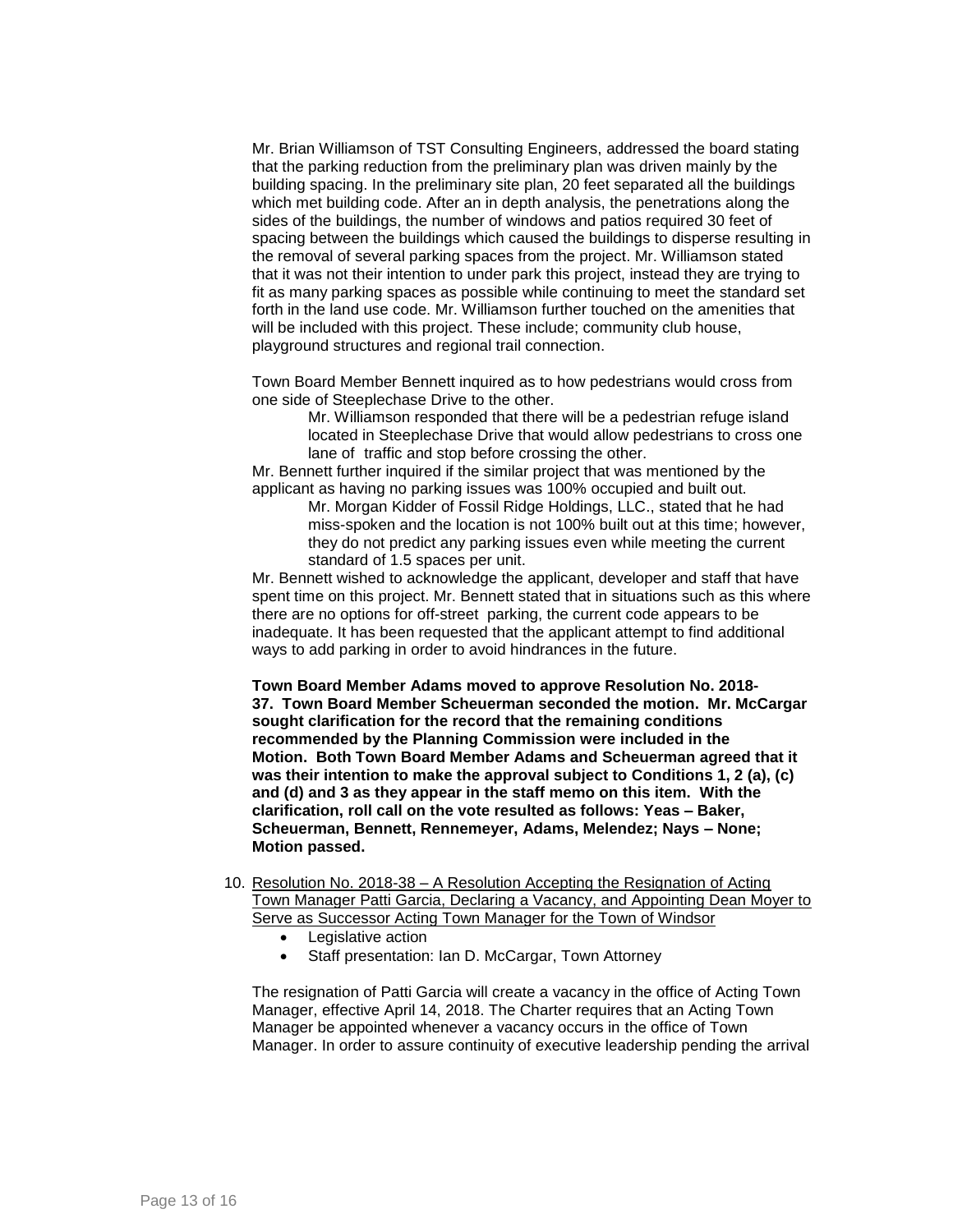Mr. Brian Williamson of TST Consulting Engineers, addressed the board stating that the parking reduction from the preliminary plan was driven mainly by the building spacing. In the preliminary site plan, 20 feet separated all the buildings which met building code. After an in depth analysis, the penetrations along the sides of the buildings, the number of windows and patios required 30 feet of spacing between the buildings which caused the buildings to disperse resulting in the removal of several parking spaces from the project. Mr. Williamson stated that it was not their intention to under park this project, instead they are trying to fit as many parking spaces as possible while continuing to meet the standard set forth in the land use code. Mr. Williamson further touched on the amenities that will be included with this project. These include; community club house, playground structures and regional trail connection.

Town Board Member Bennett inquired as to how pedestrians would cross from one side of Steeplechase Drive to the other.

Mr. Williamson responded that there will be a pedestrian refuge island located in Steeplechase Drive that would allow pedestrians to cross one lane of traffic and stop before crossing the other.

Mr. Bennett further inquired if the similar project that was mentioned by the applicant as having no parking issues was 100% occupied and built out.

> Mr. Morgan Kidder of Fossil Ridge Holdings, LLC., stated that he had miss-spoken and the location is not 100% built out at this time; however, they do not predict any parking issues even while meeting the current standard of 1.5 spaces per unit.

Mr. Bennett wished to acknowledge the applicant, developer and staff that have spent time on this project. Mr. Bennett stated that in situations such as this where there are no options for off-street parking, the current code appears to be inadequate. It has been requested that the applicant attempt to find additional ways to add parking in order to avoid hindrances in the future.

**Town Board Member Adams moved to approve Resolution No. 2018- 37. Town Board Member Scheuerman seconded the motion. Mr. McCargar sought clarification for the record that the remaining conditions recommended by the Planning Commission were included in the Motion. Both Town Board Member Adams and Scheuerman agreed that it was their intention to make the approval subject to Conditions 1, 2 (a), (c) and (d) and 3 as they appear in the staff memo on this item. With the clarification, roll call on the vote resulted as follows: Yeas – Baker, Scheuerman, Bennett, Rennemeyer, Adams, Melendez; Nays – None; Motion passed.** 

- 10. Resolution No. 2018-38 A Resolution Accepting the Resignation of Acting Town Manager Patti Garcia, Declaring a Vacancy, and Appointing Dean Moyer to Serve as Successor Acting Town Manager for the Town of Windsor
	- Legislative action
	- Staff presentation: Ian D. McCargar, Town Attorney

The resignation of Patti Garcia will create a vacancy in the office of Acting Town Manager, effective April 14, 2018. The Charter requires that an Acting Town Manager be appointed whenever a vacancy occurs in the office of Town Manager. In order to assure continuity of executive leadership pending the arrival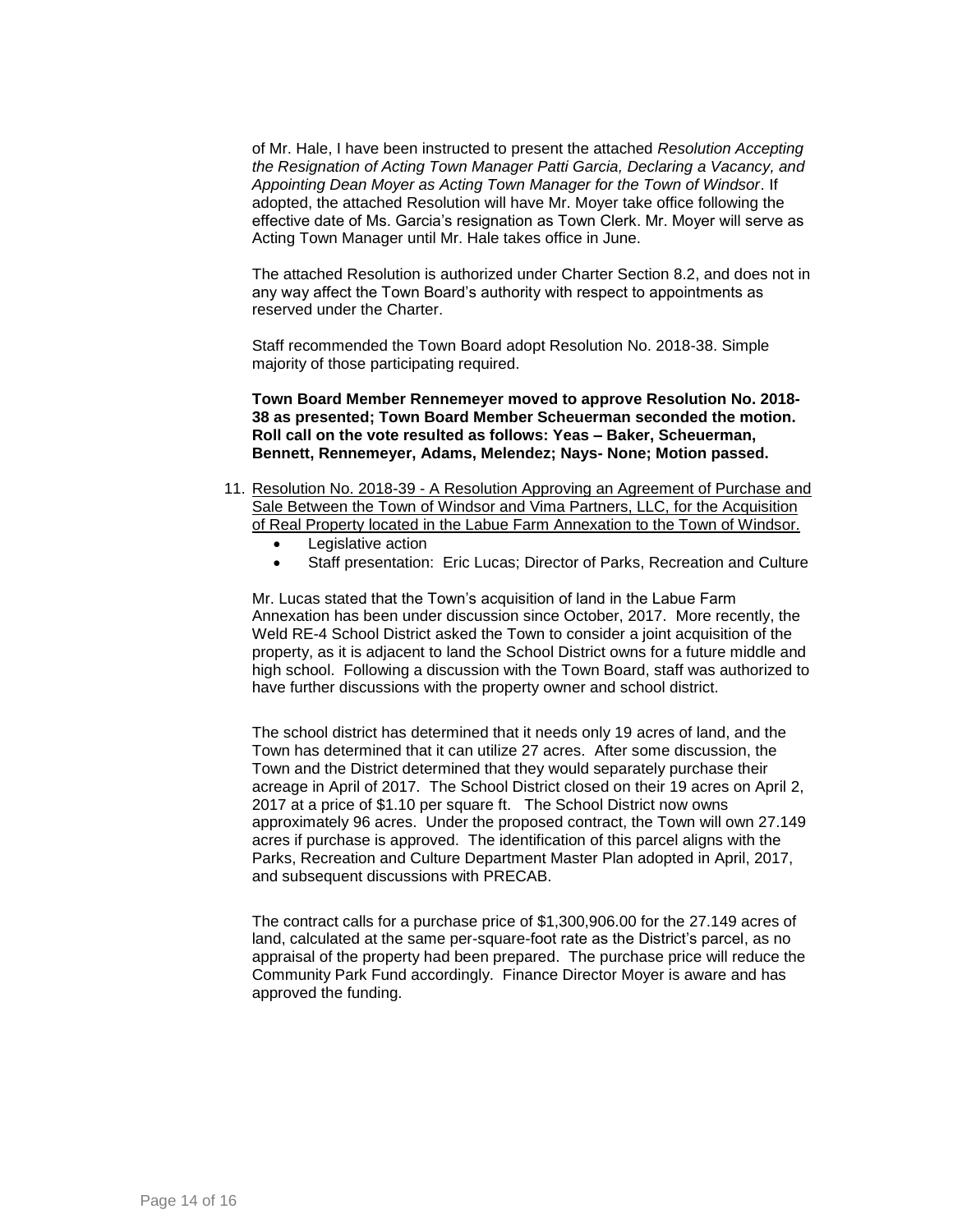of Mr. Hale, I have been instructed to present the attached *Resolution Accepting the Resignation of Acting Town Manager Patti Garcia, Declaring a Vacancy, and Appointing Dean Moyer as Acting Town Manager for the Town of Windsor*. If adopted, the attached Resolution will have Mr. Moyer take office following the effective date of Ms. Garcia's resignation as Town Clerk. Mr. Moyer will serve as Acting Town Manager until Mr. Hale takes office in June.

The attached Resolution is authorized under Charter Section 8.2, and does not in any way affect the Town Board's authority with respect to appointments as reserved under the Charter.

Staff recommended the Town Board adopt Resolution No. 2018-38. Simple majority of those participating required.

**Town Board Member Rennemeyer moved to approve Resolution No. 2018- 38 as presented; Town Board Member Scheuerman seconded the motion. Roll call on the vote resulted as follows: Yeas – Baker, Scheuerman, Bennett, Rennemeyer, Adams, Melendez; Nays- None; Motion passed.**

- 11. Resolution No. 2018-39 A Resolution Approving an Agreement of Purchase and Sale Between the Town of Windsor and Vima Partners, LLC, for the Acquisition of Real Property located in the Labue Farm Annexation to the Town of Windsor.
	- Legislative action
	- Staff presentation: Eric Lucas; Director of Parks, Recreation and Culture

Mr. Lucas stated that the Town's acquisition of land in the Labue Farm Annexation has been under discussion since October, 2017. More recently, the Weld RE-4 School District asked the Town to consider a joint acquisition of the property, as it is adjacent to land the School District owns for a future middle and high school. Following a discussion with the Town Board, staff was authorized to have further discussions with the property owner and school district.

The school district has determined that it needs only 19 acres of land, and the Town has determined that it can utilize 27 acres. After some discussion, the Town and the District determined that they would separately purchase their acreage in April of 2017. The School District closed on their 19 acres on April 2, 2017 at a price of \$1.10 per square ft. The School District now owns approximately 96 acres. Under the proposed contract, the Town will own 27.149 acres if purchase is approved. The identification of this parcel aligns with the Parks, Recreation and Culture Department Master Plan adopted in April, 2017, and subsequent discussions with PRECAB.

The contract calls for a purchase price of \$1,300,906.00 for the 27.149 acres of land, calculated at the same per-square-foot rate as the District's parcel, as no appraisal of the property had been prepared. The purchase price will reduce the Community Park Fund accordingly. Finance Director Moyer is aware and has approved the funding.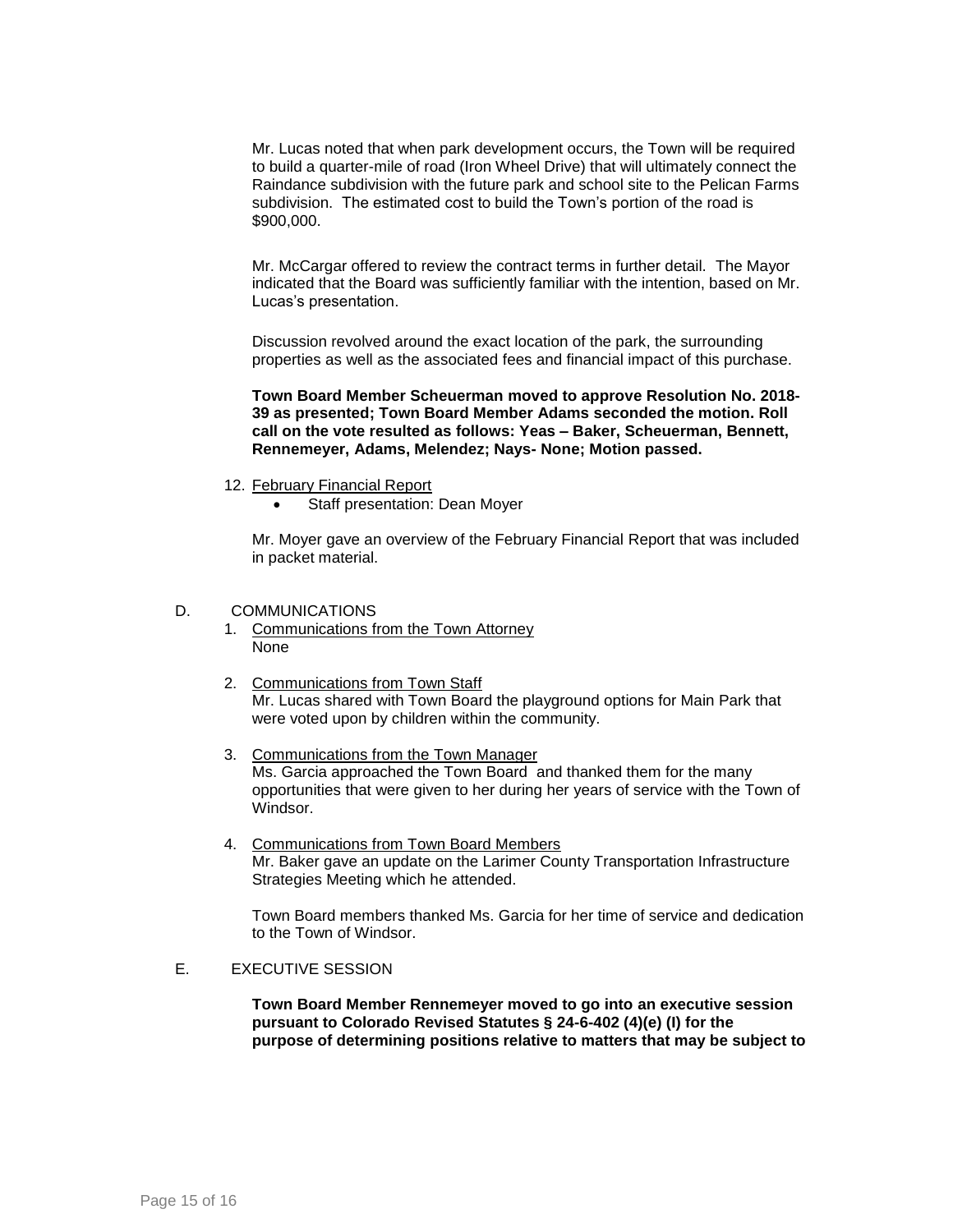Mr. Lucas noted that when park development occurs, the Town will be required to build a quarter-mile of road (Iron Wheel Drive) that will ultimately connect the Raindance subdivision with the future park and school site to the Pelican Farms subdivision. The estimated cost to build the Town's portion of the road is \$900,000.

Mr. McCargar offered to review the contract terms in further detail. The Mayor indicated that the Board was sufficiently familiar with the intention, based on Mr. Lucas's presentation.

Discussion revolved around the exact location of the park, the surrounding properties as well as the associated fees and financial impact of this purchase.

**Town Board Member Scheuerman moved to approve Resolution No. 2018- 39 as presented; Town Board Member Adams seconded the motion. Roll call on the vote resulted as follows: Yeas – Baker, Scheuerman, Bennett, Rennemeyer, Adams, Melendez; Nays- None; Motion passed.**

- 12. February Financial Report
	- Staff presentation: Dean Moyer

Mr. Moyer gave an overview of the February Financial Report that was included in packet material.

#### D. COMMUNICATIONS

- 1. Communications from the Town Attorney None
- 2. Communications from Town Staff Mr. Lucas shared with Town Board the playground options for Main Park that were voted upon by children within the community.
- 3. Communications from the Town Manager Ms. Garcia approached the Town Board and thanked them for the many opportunities that were given to her during her years of service with the Town of Windsor.
- 4. Communications from Town Board Members Mr. Baker gave an update on the Larimer County Transportation Infrastructure Strategies Meeting which he attended.

Town Board members thanked Ms. Garcia for her time of service and dedication to the Town of Windsor.

### E. EXECUTIVE SESSION

**Town Board Member Rennemeyer moved to go into an executive session pursuant to Colorado Revised Statutes § 24-6-402 (4)(e) (I) for the purpose of determining positions relative to matters that may be subject to**